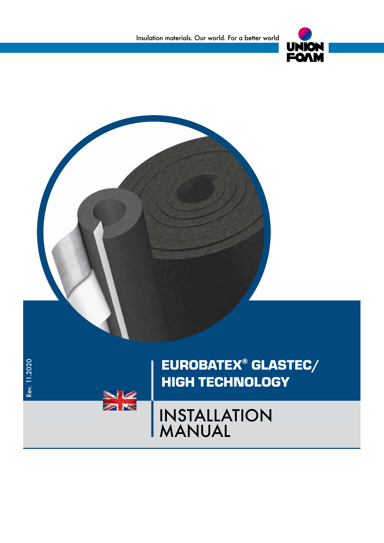

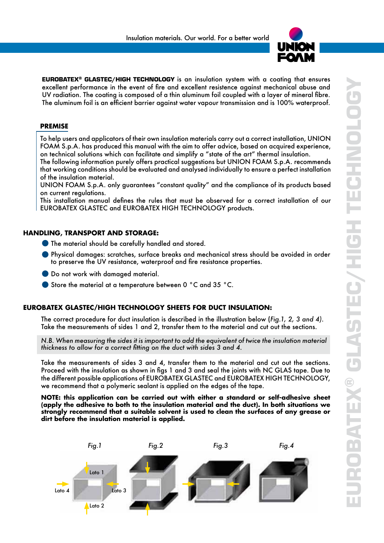

EUROBATEX® GLASTEC/HIGH TECHNOLOGY is an insulation system with a coating that ensures excellent performance in the event of fire and excellent resistence against mechanical abuse and UV radiation. The coating is composed of a thin aluminum foil coupled with a layer of mineral fibre. The aluminum foil is an efficient barrier against water vapour transmission and is 100% waterproof.

# **PREMISE**

To help users and applicators of their own insulation materials carry out a correct installation, UNION FOAM S.p.A. has produced this manual with the aim to offer advice, based on acquired experience, on technical solutions which can facilitate and simplify a "state of the art" thermal insulation.

The following information purely offers practical suggestions but UNION FOAM S.p.A. recommends that working conditions should be evaluated and analysed individually to ensure a perfect installation of the insulation material.

UNION FOAM S.p.A. only guarantees "constant quality" and the compliance of its products based on current regulations.

This installation manual defines the rules that must be observed for a correct installation of our EUROBATEX GLASTEC and EUROBATEX HIGH TECHNOLOGY products.

### **HANDLING, TRANSPORT AND STORAGE:**

- The material should be carefully handled and stored.
- Physical damages: scratches, surface breaks and mechanical stress should be avoided in order to preserve the UV resistance, waterproof and fire resistance properties.
- **O** Do not work with damaged material.
- Store the material at a temperature between 0 °C and 35 °C.

#### **EUROBATEX GLASTEC/HIGH TECHNOLOGY SHEETS FOR DUCT INSULATION:**

The correct procedure for duct insulation is described in the illustration below (*Fig.1, 2, 3 and 4)*. Take the measurements of sides 1 and 2, transfer them to the material and cut out the sections.

*N.B. When measuring the sides it is important to add the equivalent of twice the insulation material thickness to allow for a correct fitting on the duct with sides 3 and 4.*

Take the measurements of sides 3 and 4, transfer them to the material and cut out the sections. Proceed with the insulation as shown in figs 1 and 3 and seal the joints with NC GLAS tape. Due to the different possible applications of EUROBATEX GLASTEC and EUROBATEX HIGH TECHNOLOGY, we recommend that a polymeric sealant is applied on the edges of the tape.

**NOTE: this application can be carried out with either a standard or self-adhesive sheet (apply the adhesive to both to the insulation material and the duct). In both situations we strongly recommend that a suitable solvent is used to clean the surfaces of any grease or dirt before the insulation material is applied.**

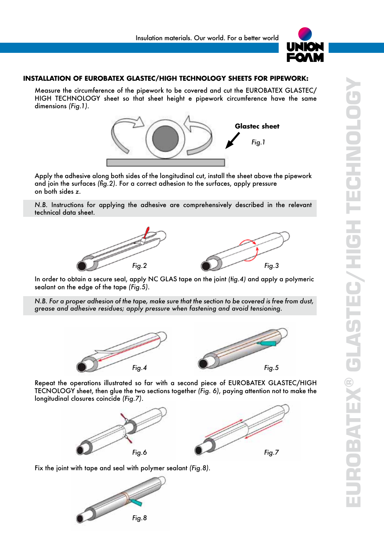

# **INSTALLATION OF EUROBATEX GLASTEC/HIGH TECHNOLOGY SHEETS FOR PIPEWORK:**

Measure the circumference of the pipework to be covered and cut the EUROBATEX GLASTEC/ HIGH TECHNOLOGY sheet so that sheet height e pipework circumference have the same dimensions *(Fig.1)*.



Apply the adhesive along both sides of the longitudinal cut, install the sheet above the pipework and join the surfaces *(fig.2)*. For a correct adhesion to the surfaces, apply pressure on both sides *z*.

*N.B.* Instructions for applying the adhesive are comprehensively described in the relevant technical data sheet.



In order to obtain a secure seal, apply NC GLAS tape on the joint *(fig.4)* and apply a polymeric sealant on the edge of the tape *(Fig.5)*.

*N.B. For a proper adhesion of the tape, make sure that the section to be covered is free from dust, grease and adhesive residues; apply pressure when fastening and avoid tensioning.*



Repeat the operations illustrated so far with a second piece of EUROBATEX GLASTEC/HIGH TECNOLOGY sheet, then glue the two sections together *(Fig. 6)*, paying attention not to make the longitudinal closures coincide *(Fig.7)*.



Fix the joint with tape and seal with polymer sealant *(Fig.8)*.